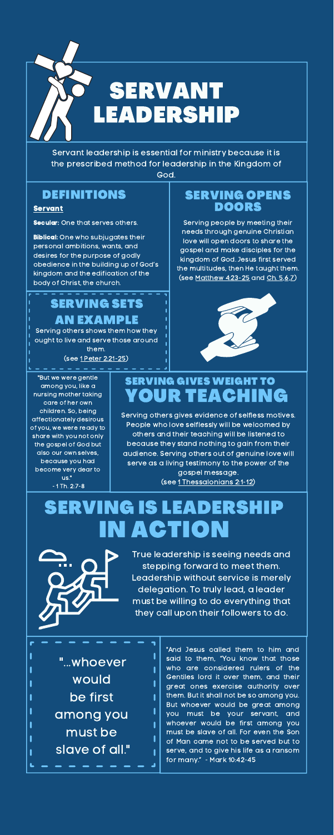Serving others gives evidence of selfless motives. People who love selflessly will be welcomed by others and their teaching will be listened to because they stand nothing to gain from their audience. Serving others out of genuine love will serve as a living testimony to the power of the gospel message.

(see 1 [Thessalonians](https://www.biblegateway.com/passage/?search=1+Thessalonians+2%3A1-12&version=ESV) 2:1-12)



Servant leadership is essential for ministry because it is the prescribed method for leadership in the Kingdom of God.

## SERVING GIVES WEIGHT TO YOUR TEACHING

True leadership is seeing needs and stepping forward to meet them. Leadership without service is merely delegation. To truly lead, a leader must be willing to do everything that they call upon their followers to do.

**Biblical:** One who subjugates their personal ambitions, wants, and desires for the purpose of godly obedience in the building up of God's kingdom and the edification of the body of Christ, the church.

## SERVING IS LEADERSH IN ACTION

ı

"And Jesus called them to him and said to them, "You know that those who are considered rulers of the Gentiles lord it over them, and their great ones exercise authority over them. But it shall not be so among you. But whoever would be great among you must be your servant, and whoever would be first among you must be slave of all. For even the Son of Man came not to be served but to serve, and to give his life as a ransom for many." - Mark 10:42-45

#### DEFINITIONS

#### Servant

**Secular:** One that serves others.

#### SERVING OPENS DOORS

Serving people by meeting their needs through genuine Christian love will open doors to share the gospel and make disciples for the kingdom of God. Jesus first served the multitudes, then He taught them. (see [Matthew](https://www.biblegateway.com/passage/?search=Matthew+4%3A23-25&version=ESV) 4:23-25 and Ch. [5,6,7](https://www.biblegateway.com/passage/?search=Matthew+5%2C6%2C7&version=ESV))



### SERVING SETS AN EXAMPLE

Serving others shows them how they ought to live and serve those around them.

(see 1 Peter [2:21-25](https://www.biblegateway.com/passage/?search=1+Peter+2%3A21-25&version=ESV))

#### "But we were gentle among you, like a nursing mother taking care of her own children. So, being affectionately desirous of you, we were ready to share with you not only the gospel of God but also our own selves, because you had become very dear to us." - 1 Th. 2:7-8

"...whoever would be first among you must be slave of all."

L

L

ľ

ı

I

I

I

ı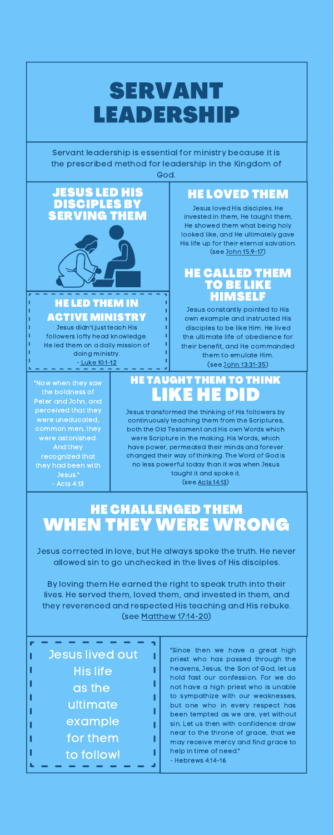Jesus transformed the thinking of His followers by continuously teaching them from the Scriptures, both the Old Testament and His own Words which were Scripture in the making. His Words, which have power, permeated their minds and forever changed their way of thinking. The Word of God is no less powerful today than it was when Jesus taught it and spoke it. (see Acts [14:13](https://www.biblegateway.com/passage/?search=Acts+14%3A13&version=ESV))

# SERVANT LEADERSHIP

Servant leadership is essential for ministry because it is the prescribed method for leadership in the Kingdom of God.

## HE TAUGHT THEM TO THINK LIKE HE DID

Jesus corrected in love, but He always spoke the truth. He never allowed sin to go unchecked in the lives of His disciples.

By loving them He earned the right to speak truth into their lives. He served them, loved them, and invested in them, and they reverenced and respected His teaching and His rebuke. (see Matthew [17:14-20\)](https://www.biblegateway.com/passage/?search=Matthew+17%3A14-20&version=ESV)

> "Since then we have a great high priest who has passed through the heavens, Jesus, the Son of God, let us hold fast our confession. For we do not have a high priest who is unable to sympathize with our weaknesses, but one who in every respect has been tempted as we are, yet without sin. Let us then with confidence draw near to the throne of grace, that we may receive mercy and find grace to help in time of need."

- Hebrews 4:14-16

HE LOVED THEM

Jesus loved His disciples. He invested in them, He taught them, He showed them what being holy looked like, and He ultimately gave His life up for their eternal salvation. (see John [15:9-17\)](https://www.biblegateway.com/passage/?search=John+15%3A9-17&version=ESV)

#### HE LED THEM IN ACTIVE MINISTRY

Jesus didn't just teach His followers lofty head knowledge. He led them on a daily mission of doing ministry. - Luke [10:1-12](https://www.biblegateway.com/passage/?search=+Luke+10%3A1-12&version=ESV)

## HE CHALLENGED THEM WHEN THEY WERE WRONG

"Now when they saw the boldness of Peter and John, and perceived that they were uneducated, common men, they were astonished. And they recognized that they had been with Jesus." - Acts 4:13

| <b>Jesus lived out</b> |
|------------------------|
| <b>His life</b>        |
| as the                 |
| ultimate               |
| example                |
| for them               |
| to follow!             |
|                        |

#### JESUS LED HIS DISCIPLES BY SERVING THEM



#### HE CALLED THEM TO BE LIKE HIMSELF

Jesus constantly pointed to His own example and instructed His disciples to be like Him. He lived the ultimate life of obedience for their benefit, and He commanded them to emulate Him. (see John [13:31-35](https://www.biblegateway.com/passage/?search=John+13%3A31-35&version=ESV))